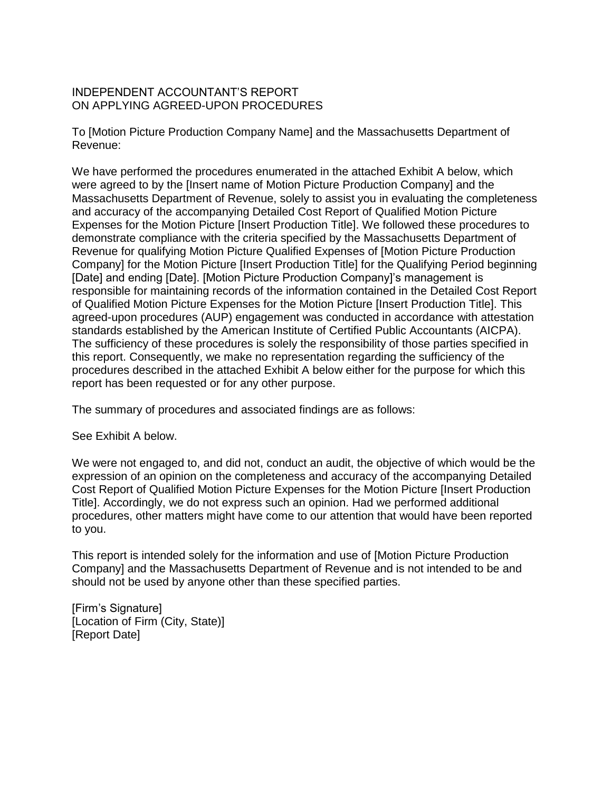## INDEPENDENT ACCOUNTANT'S REPORT ON APPLYING AGREED-UPON PROCEDURES

To [Motion Picture Production Company Name] and the Massachusetts Department of Revenue:

We have performed the procedures enumerated in the attached Exhibit A below, which were agreed to by the [Insert name of Motion Picture Production Company] and the Massachusetts Department of Revenue, solely to assist you in evaluating the completeness and accuracy of the accompanying Detailed Cost Report of Qualified Motion Picture Expenses for the Motion Picture [Insert Production Title]. We followed these procedures to demonstrate compliance with the criteria specified by the Massachusetts Department of Revenue for qualifying Motion Picture Qualified Expenses of [Motion Picture Production Company] for the Motion Picture [Insert Production Title] for the Qualifying Period beginning [Date] and ending [Date]. [Motion Picture Production Company]'s management is responsible for maintaining records of the information contained in the Detailed Cost Report of Qualified Motion Picture Expenses for the Motion Picture [Insert Production Title]. This agreed-upon procedures (AUP) engagement was conducted in accordance with attestation standards established by the American Institute of Certified Public Accountants (AICPA). The sufficiency of these procedures is solely the responsibility of those parties specified in this report. Consequently, we make no representation regarding the sufficiency of the procedures described in the attached Exhibit A below either for the purpose for which this report has been requested or for any other purpose.

The summary of procedures and associated findings are as follows:

See Exhibit A below.

We were not engaged to, and did not, conduct an audit, the objective of which would be the expression of an opinion on the completeness and accuracy of the accompanying Detailed Cost Report of Qualified Motion Picture Expenses for the Motion Picture [Insert Production Title]. Accordingly, we do not express such an opinion. Had we performed additional procedures, other matters might have come to our attention that would have been reported to you.

This report is intended solely for the information and use of [Motion Picture Production Company] and the Massachusetts Department of Revenue and is not intended to be and should not be used by anyone other than these specified parties.

[Firm's Signature] [Location of Firm (City, State)] [Report Date]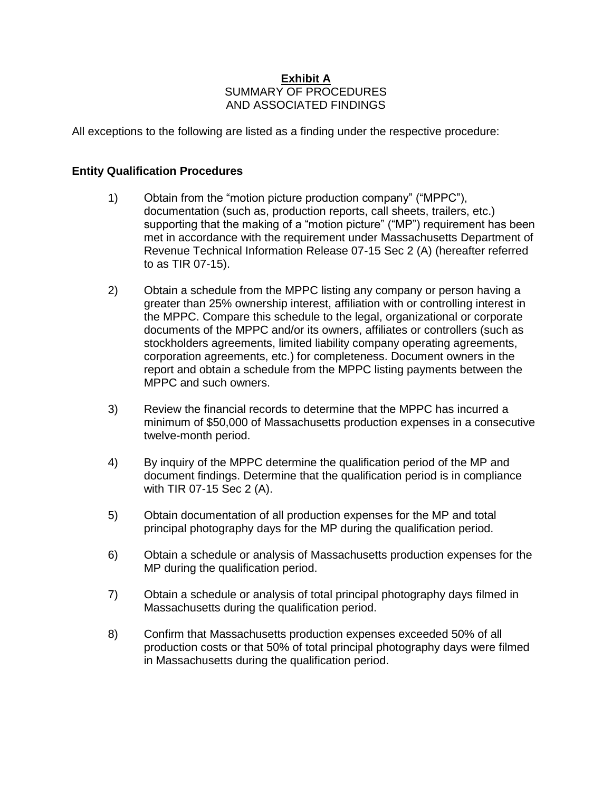## **Exhibit A**  SUMMARY OF PROCEDURES AND ASSOCIATED FINDINGS

All exceptions to the following are listed as a finding under the respective procedure:

## **Entity Qualification Procedures**

- 1) Obtain from the "motion picture production company" ("MPPC"), documentation (such as, production reports, call sheets, trailers, etc.) supporting that the making of a "motion picture" ("MP") requirement has been met in accordance with the requirement under Massachusetts Department of Revenue Technical Information Release 07-15 Sec 2 (A) (hereafter referred to as TIR 07-15).
- 2) Obtain a schedule from the MPPC listing any company or person having a greater than 25% ownership interest, affiliation with or controlling interest in the MPPC. Compare this schedule to the legal, organizational or corporate documents of the MPPC and/or its owners, affiliates or controllers (such as stockholders agreements, limited liability company operating agreements, corporation agreements, etc.) for completeness. Document owners in the report and obtain a schedule from the MPPC listing payments between the MPPC and such owners.
- 3) Review the financial records to determine that the MPPC has incurred a minimum of \$50,000 of Massachusetts production expenses in a consecutive twelve-month period.
- 4) By inquiry of the MPPC determine the qualification period of the MP and document findings. Determine that the qualification period is in compliance with TIR 07-15 Sec 2 (A).
- 5) Obtain documentation of all production expenses for the MP and total principal photography days for the MP during the qualification period.
- 6) Obtain a schedule or analysis of Massachusetts production expenses for the MP during the qualification period.
- 7) Obtain a schedule or analysis of total principal photography days filmed in Massachusetts during the qualification period.
- 8) Confirm that Massachusetts production expenses exceeded 50% of all production costs or that 50% of total principal photography days were filmed in Massachusetts during the qualification period.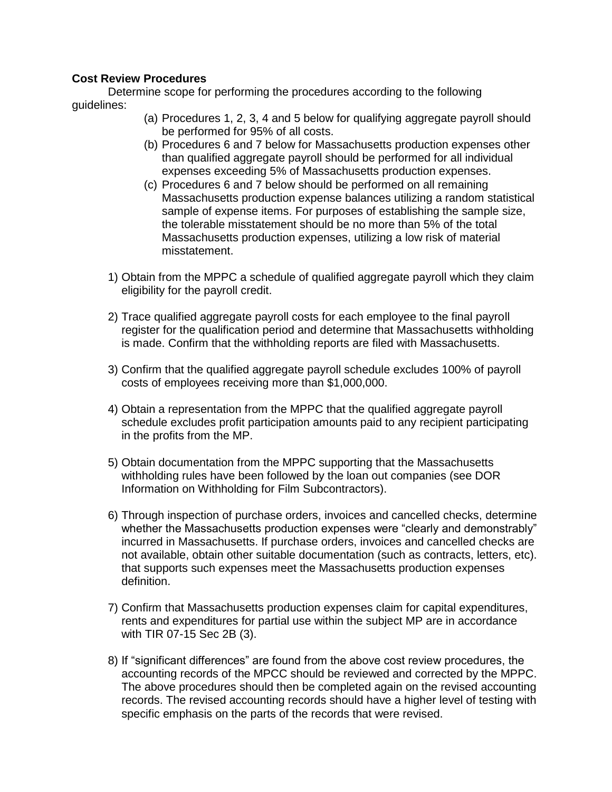## **Cost Review Procedures**

Determine scope for performing the procedures according to the following guidelines:

- (a) Procedures 1, 2, 3, 4 and 5 below for qualifying aggregate payroll should be performed for 95% of all costs.
- (b) Procedures 6 and 7 below for Massachusetts production expenses other than qualified aggregate payroll should be performed for all individual expenses exceeding 5% of Massachusetts production expenses.
- (c) Procedures 6 and 7 below should be performed on all remaining Massachusetts production expense balances utilizing a random statistical sample of expense items. For purposes of establishing the sample size, the tolerable misstatement should be no more than 5% of the total Massachusetts production expenses, utilizing a low risk of material misstatement.
- 1) Obtain from the MPPC a schedule of qualified aggregate payroll which they claim eligibility for the payroll credit.
- 2) Trace qualified aggregate payroll costs for each employee to the final payroll register for the qualification period and determine that Massachusetts withholding is made. Confirm that the withholding reports are filed with Massachusetts.
- 3) Confirm that the qualified aggregate payroll schedule excludes 100% of payroll costs of employees receiving more than \$1,000,000.
- 4) Obtain a representation from the MPPC that the qualified aggregate payroll schedule excludes profit participation amounts paid to any recipient participating in the profits from the MP.
- 5) Obtain documentation from the MPPC supporting that the Massachusetts withholding rules have been followed by the loan out companies (see DOR Information on Withholding for Film Subcontractors).
- 6) Through inspection of purchase orders, invoices and cancelled checks, determine whether the Massachusetts production expenses were "clearly and demonstrably" incurred in Massachusetts. If purchase orders, invoices and cancelled checks are not available, obtain other suitable documentation (such as contracts, letters, etc). that supports such expenses meet the Massachusetts production expenses definition.
- 7) Confirm that Massachusetts production expenses claim for capital expenditures, rents and expenditures for partial use within the subject MP are in accordance with TIR 07-15 Sec 2B (3).
- 8) If "significant differences" are found from the above cost review procedures, the accounting records of the MPCC should be reviewed and corrected by the MPPC. The above procedures should then be completed again on the revised accounting records. The revised accounting records should have a higher level of testing with specific emphasis on the parts of the records that were revised.